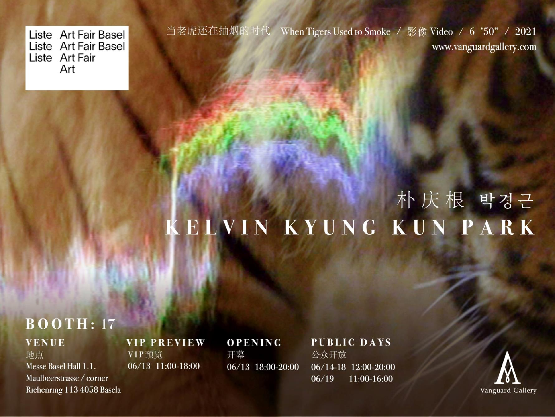Liste Art Fair Basel Liste Art Fair Basel Liste Art Fair Art

当老虎还在抽烟的时代 When Tigers Used to Smoke / 影像 Video / 6 '50" / 2021 www.vanguardgallery.com

# 朴庆根 박경근 KELVIN KYUNG KUN PARK

## $\overline{B}\overline{O}\overline{O}$ TH: 17

**VENUE** 地点

Messe Basel Hall 1.1. Maulbeerstrasse / corner Riehenring 113 4058 Basela **VIP PREVIEW** VIP预览 06/13 11:00-18:00

**OPENING** 开幕 06/13 18:00-20:00

**PUBLIC DAYS** 公众开放 06/14-18 12:00-20:00  $06/19$ 11:00-16:00

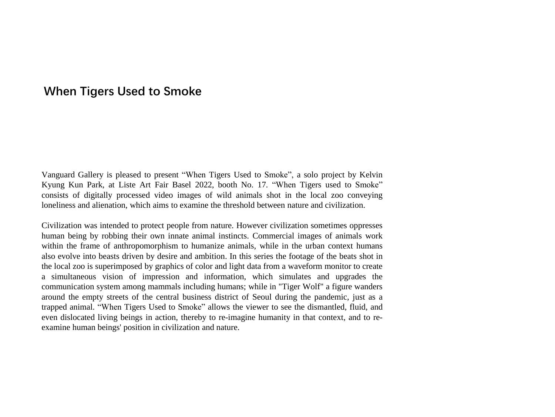#### **When Tigers Used to Smoke**

Vanguard Gallery is pleased to present "When Tigers Used to Smoke", a solo project by Kelvin Kyung Kun Park, at Liste Art Fair Basel 2022, booth No. 17. "When Tigers used to Smoke" consists of digitally processed video images of wild animals shot in the local zoo conveying loneliness and alienation, which aims to examine the threshold between nature and civilization.

Civilization was intended to protect people from nature. However civilization sometimes oppresses human being by robbing their own innate animal instincts. Commercial images of animals work within the frame of anthropomorphism to humanize animals, while in the urban context humans also evolve into beasts driven by desire and ambition. In this series the footage of the beats shot in the local zoo is superimposed by graphics of color and light data from a waveform monitor to create a simultaneous vision of impression and information, which simulates and upgrades the communication system among mammals including humans; while in "Tiger Wolf" a figure wanders around the empty streets of the central business district of Seoul during the pandemic, just as a trapped animal. "When Tigers Used to Smoke" allows the viewer to see the dismantled, fluid, and even dislocated living beings in action, thereby to re-imagine humanity in that context, and to reexamine human beings' position in civilization and nature.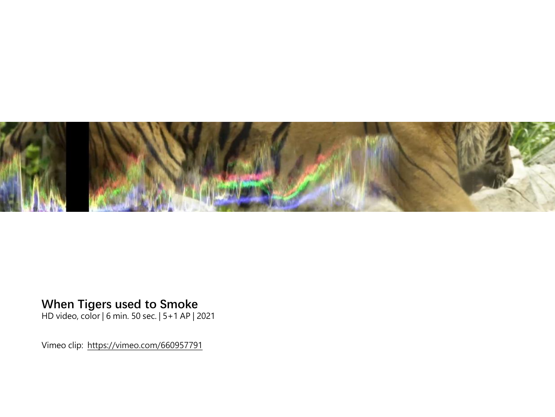

#### **When Tigers used to Smoke**

HD video, color | 6 min. 50 sec. | 5+1 AP | 2021

Vimeo clip: <https://vimeo.com/660957791>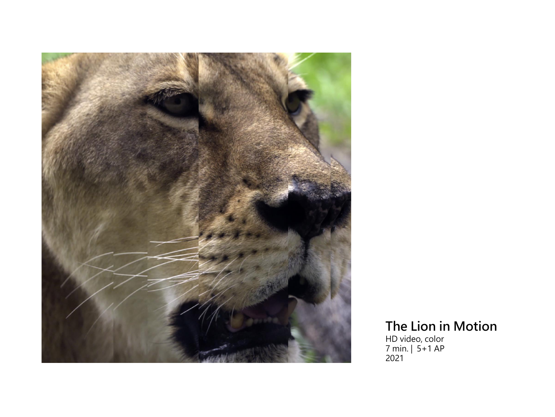

### **The Lion in Motion**

HD video, color 7 min. | 5+1 AP 2021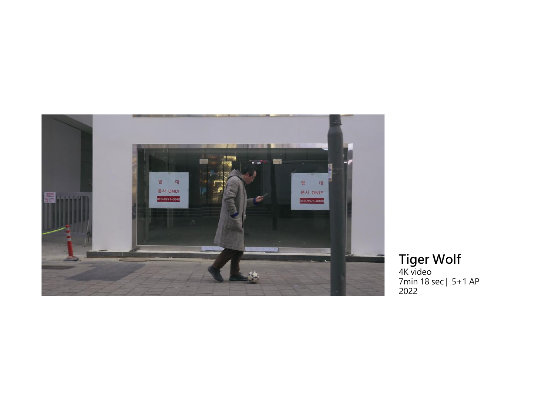

**Tiger Wolf**<br>4K video<br>7min 18 sec | 5+1 AP<br>2022